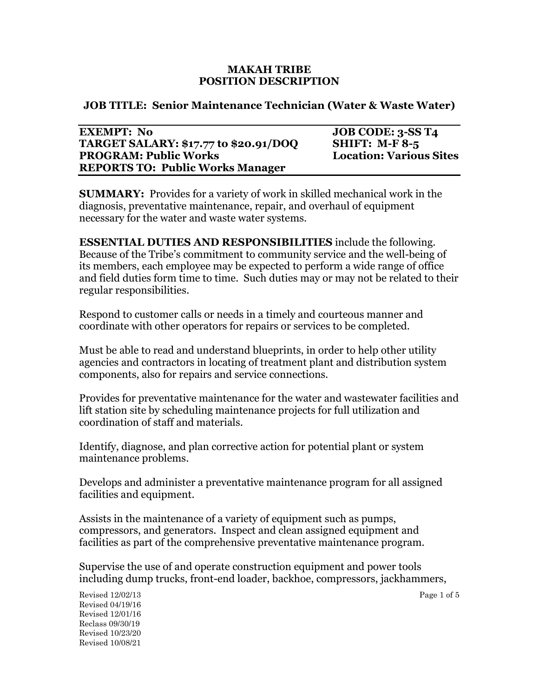#### **MAKAH TRIBE POSITION DESCRIPTION**

### **JOB TITLE: Senior Maintenance Technician (Water & Waste Water)**

# **EXEMPT: No JOB CODE: 3-SS T4 TARGET SALARY: \$17.77 to \$20.91/DOQ SHIFT: M-F 8-5 PROGRAM: Public Works REPORTS TO: Public Works Manager**

**SUMMARY:** Provides for a variety of work in skilled mechanical work in the diagnosis, preventative maintenance, repair, and overhaul of equipment necessary for the water and waste water systems.

**ESSENTIAL DUTIES AND RESPONSIBILITIES** include the following. Because of the Tribe's commitment to community service and the well-being of its members, each employee may be expected to perform a wide range of office and field duties form time to time. Such duties may or may not be related to their regular responsibilities.

Respond to customer calls or needs in a timely and courteous manner and coordinate with other operators for repairs or services to be completed.

Must be able to read and understand blueprints, in order to help other utility agencies and contractors in locating of treatment plant and distribution system components, also for repairs and service connections.

Provides for preventative maintenance for the water and wastewater facilities and lift station site by scheduling maintenance projects for full utilization and coordination of staff and materials.

Identify, diagnose, and plan corrective action for potential plant or system maintenance problems.

Develops and administer a preventative maintenance program for all assigned facilities and equipment.

Assists in the maintenance of a variety of equipment such as pumps, compressors, and generators. Inspect and clean assigned equipment and facilities as part of the comprehensive preventative maintenance program.

Supervise the use of and operate construction equipment and power tools including dump trucks, front-end loader, backhoe, compressors, jackhammers,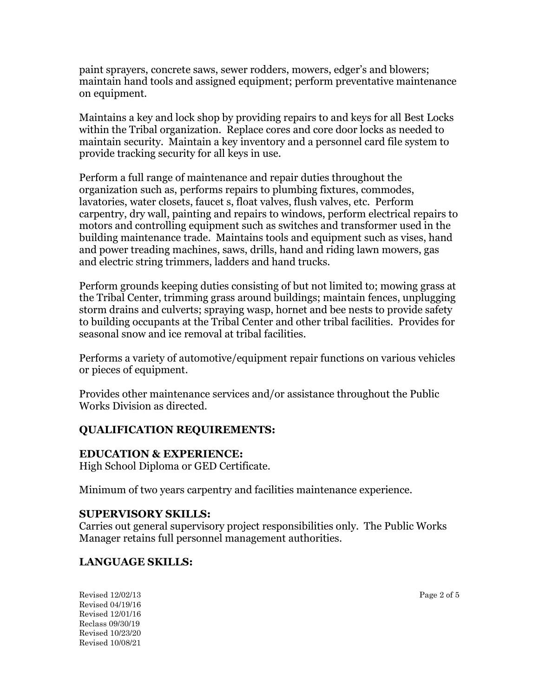paint sprayers, concrete saws, sewer rodders, mowers, edger's and blowers; maintain hand tools and assigned equipment; perform preventative maintenance on equipment.

Maintains a key and lock shop by providing repairs to and keys for all Best Locks within the Tribal organization. Replace cores and core door locks as needed to maintain security. Maintain a key inventory and a personnel card file system to provide tracking security for all keys in use.

Perform a full range of maintenance and repair duties throughout the organization such as, performs repairs to plumbing fixtures, commodes, lavatories, water closets, faucet s, float valves, flush valves, etc. Perform carpentry, dry wall, painting and repairs to windows, perform electrical repairs to motors and controlling equipment such as switches and transformer used in the building maintenance trade. Maintains tools and equipment such as vises, hand and power treading machines, saws, drills, hand and riding lawn mowers, gas and electric string trimmers, ladders and hand trucks.

Perform grounds keeping duties consisting of but not limited to; mowing grass at the Tribal Center, trimming grass around buildings; maintain fences, unplugging storm drains and culverts; spraying wasp, hornet and bee nests to provide safety to building occupants at the Tribal Center and other tribal facilities. Provides for seasonal snow and ice removal at tribal facilities.

Performs a variety of automotive/equipment repair functions on various vehicles or pieces of equipment.

Provides other maintenance services and/or assistance throughout the Public Works Division as directed.

# **QUALIFICATION REQUIREMENTS:**

#### **EDUCATION & EXPERIENCE:**

High School Diploma or GED Certificate.

Minimum of two years carpentry and facilities maintenance experience.

#### **SUPERVISORY SKILLS:**

Carries out general supervisory project responsibilities only. The Public Works Manager retains full personnel management authorities.

# **LANGUAGE SKILLS:**

Revised  $12/02/13$  Page 2 of 5 Revised 04/19/16 Revised 12/01/16 Reclass 09/30/19 Revised 10/23/20 Revised 10/08/21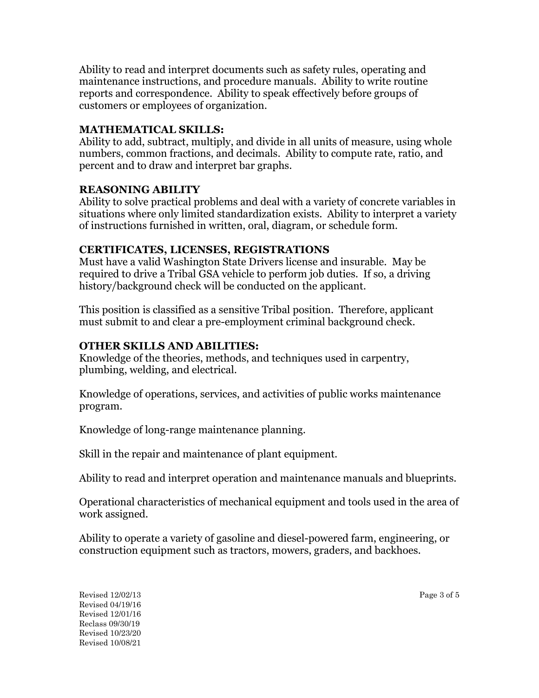Ability to read and interpret documents such as safety rules, operating and maintenance instructions, and procedure manuals. Ability to write routine reports and correspondence. Ability to speak effectively before groups of customers or employees of organization.

# **MATHEMATICAL SKILLS:**

Ability to add, subtract, multiply, and divide in all units of measure, using whole numbers, common fractions, and decimals. Ability to compute rate, ratio, and percent and to draw and interpret bar graphs.

# **REASONING ABILITY**

Ability to solve practical problems and deal with a variety of concrete variables in situations where only limited standardization exists. Ability to interpret a variety of instructions furnished in written, oral, diagram, or schedule form.

# **CERTIFICATES, LICENSES, REGISTRATIONS**

Must have a valid Washington State Drivers license and insurable. May be required to drive a Tribal GSA vehicle to perform job duties. If so, a driving history/background check will be conducted on the applicant.

This position is classified as a sensitive Tribal position. Therefore, applicant must submit to and clear a pre-employment criminal background check.

# **OTHER SKILLS AND ABILITIES:**

Knowledge of the theories, methods, and techniques used in carpentry, plumbing, welding, and electrical.

Knowledge of operations, services, and activities of public works maintenance program.

Knowledge of long-range maintenance planning.

Skill in the repair and maintenance of plant equipment.

Ability to read and interpret operation and maintenance manuals and blueprints.

Operational characteristics of mechanical equipment and tools used in the area of work assigned.

Ability to operate a variety of gasoline and diesel-powered farm, engineering, or construction equipment such as tractors, mowers, graders, and backhoes.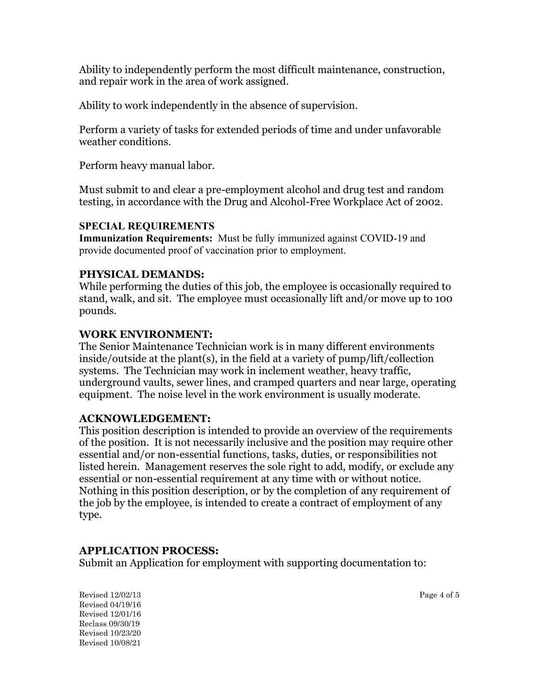Ability to independently perform the most difficult maintenance, construction, and repair work in the area of work assigned.

Ability to work independently in the absence of supervision.

Perform a variety of tasks for extended periods of time and under unfavorable weather conditions.

Perform heavy manual labor.

Must submit to and clear a pre-employment alcohol and drug test and random testing, in accordance with the Drug and Alcohol-Free Workplace Act of 2002.

#### **SPECIAL REQUIREMENTS**

**Immunization Requirements:** Must be fully immunized against COVID-19 and provide documented proof of vaccination prior to employment.

# **PHYSICAL DEMANDS:**

While performing the duties of this job, the employee is occasionally required to stand, walk, and sit. The employee must occasionally lift and/or move up to 100 pounds.

# **WORK ENVIRONMENT:**

The Senior Maintenance Technician work is in many different environments inside/outside at the plant(s), in the field at a variety of pump/lift/collection systems. The Technician may work in inclement weather, heavy traffic, underground vaults, sewer lines, and cramped quarters and near large, operating equipment. The noise level in the work environment is usually moderate.

#### **ACKNOWLEDGEMENT:**

This position description is intended to provide an overview of the requirements of the position. It is not necessarily inclusive and the position may require other essential and/or non-essential functions, tasks, duties, or responsibilities not listed herein. Management reserves the sole right to add, modify, or exclude any essential or non-essential requirement at any time with or without notice. Nothing in this position description, or by the completion of any requirement of the job by the employee, is intended to create a contract of employment of any type.

# **APPLICATION PROCESS:**

Submit an Application for employment with supporting documentation to: